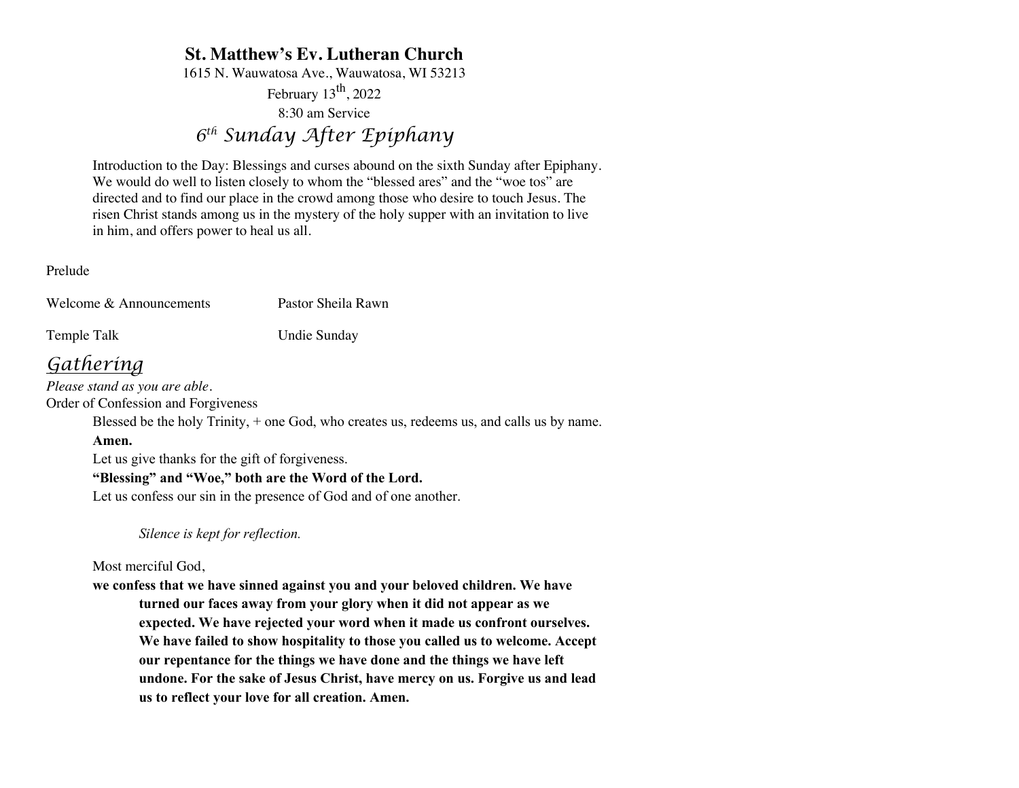# **St. Matthew's Ev. Lutheran Church**

1615 N. Wauwatosa Ave., Wauwatosa, WI 53213

February  $13^{th}$ , 2022

8:30 am Service

*6th Sunday After Epiphany*

Introduction to the Day: Blessings and curses abound on the sixth Sunday after Epiphany. We would do well to listen closely to whom the "blessed ares" and the "woe tos" are directed and to find our place in the crowd among those who desire to touch Jesus. The risen Christ stands among us in the mystery of the holy supper with an invitation to live in him, and offers power to heal us all.

Prelude

Welcome & Announcements Pastor Sheila Rawn

Temple Talk Undie Sunday

# *Gathering*

*Please stand as you are able.* Order of Confession and Forgiveness

Blessed be the holy Trinity, + one God, who creates us, redeems us, and calls us by name.

# **Amen.**

Let us give thanks for the gift of forgiveness.

# **"Blessing" and "Woe," both are the Word of the Lord.**

Let us confess our sin in the presence of God and of one another.

*Silence is kept for reflection.*

Most merciful God,

**we confess that we have sinned against you and your beloved children. We have turned our faces away from your glory when it did not appear as we expected. We have rejected your word when it made us confront ourselves. We have failed to show hospitality to those you called us to welcome. Accept our repentance for the things we have done and the things we have left undone. For the sake of Jesus Christ, have mercy on us. Forgive us and lead us to reflect your love for all creation. Amen.**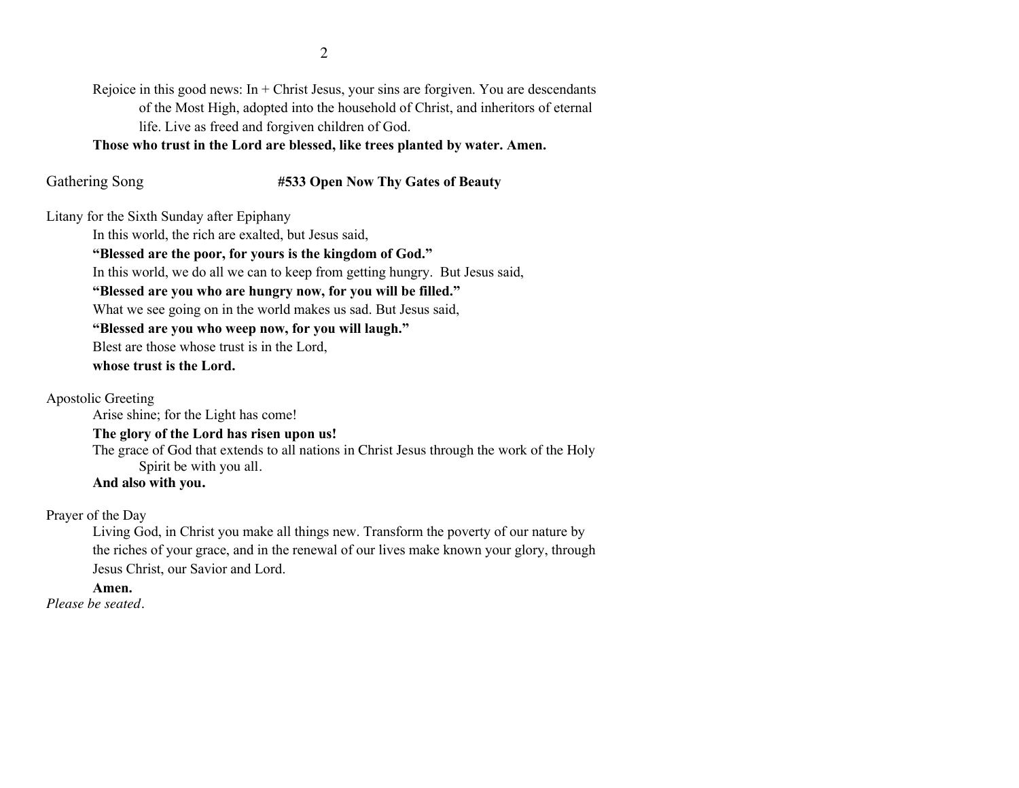Rejoice in this good news: In  $+$  Christ Jesus, your sins are forgiven. You are descendants of the Most High, adopted into the household of Christ, and inheritors of eternal life. Live as freed and forgiven children of God.

**Those who trust in the Lord are blessed, like trees planted by water. Amen.**

## Gathering Song **#533 Open Now Thy Gates of Beauty**

Litany for the Sixth Sunday after Epiphany

In this world, the rich are exalted, but Jesus said,

## **"Blessed are the poor, for yours is the kingdom of God."**

In this world, we do all we can to keep from getting hungry. But Jesus said,

## **"Blessed are you who are hungry now, for you will be filled."**

What we see going on in the world makes us sad. But Jesus said,

**"Blessed are you who weep now, for you will laugh."**

Blest are those whose trust is in the Lord,

**whose trust is the Lord.**

Apostolic Greeting

Arise shine; for the Light has come!

## **The glory of the Lord has risen upon us!**

The grace of God that extends to all nations in Christ Jesus through the work of the Holy Spirit be with you all.

## **And also with you.**

Prayer of the Day

Living God, in Christ you make all things new. Transform the poverty of our nature by the riches of your grace, and in the renewal of our lives make known your glory, through Jesus Christ, our Savior and Lord.

# **Amen.**

*Please be seated.*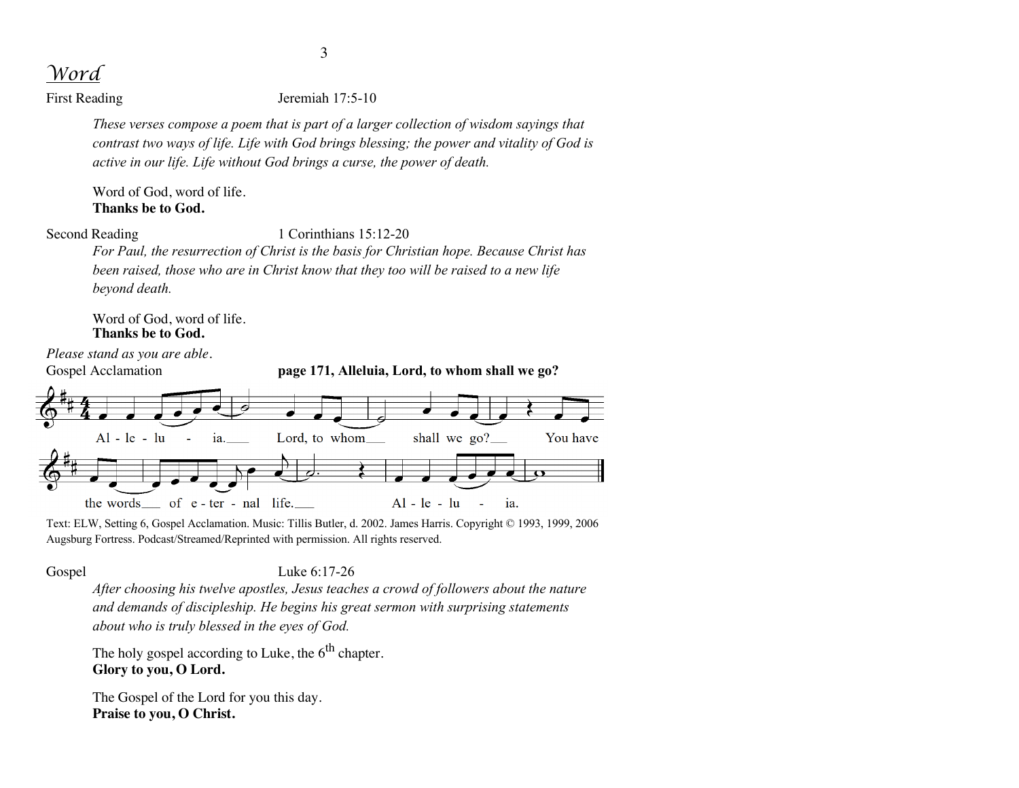*Word*

First Reading Jeremiah 17:5-10

*These verses compose a poem that is part of a larger collection of wisdom sayings that contrast two ways of life. Life with God brings blessing; the power and vitality of God is active in our life. Life without God brings a curse, the power of death.*

Word of God, word of life. **Thanks be to God.**

Second Reading 1 Corinthians 15:12-20

*For Paul, the resurrection of Christ is the basis for Christian hope. Because Christ has been raised, those who are in Christ know that they too will be raised to a new life beyond death.*

Word of God, word of life. **Thanks be to God.**

*Please stand as you are able.* Gospel Acclamation **page 171, Alleluia, Lord, to whom shall we go?** You have  $Al - le - lu$ ia. Lord, to whom shall we  $\alpha$ ? the words\_\_ of e-ter-nal life.\_\_  $Al - le - lu$ ia. L,

Text: ELW, Setting 6, Gospel Acclamation. Music: Tillis Butler, d. 2002. James Harris. Copyright © 1993, 1999, 2006 Augsburg Fortress. Podcast/Streamed/Reprinted with permission. All rights reserved.

Gospel Luke 6:17-26

*After choosing his twelve apostles, Jesus teaches a crowd of followers about the nature and demands of discipleship. He begins his great sermon with surprising statements about who is truly blessed in the eyes of God.*

The holy gospel according to Luke, the  $6<sup>th</sup>$  chapter. **Glory to you, O Lord.**

The Gospel of the Lord for you this day. **Praise to you, O Christ.**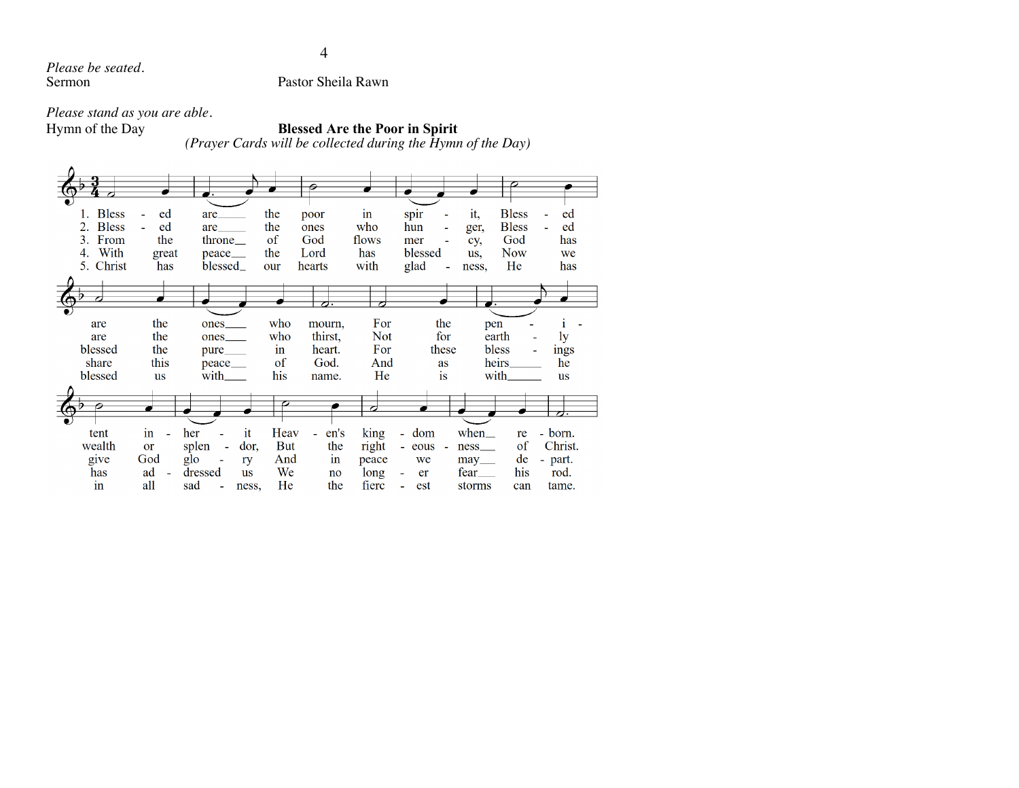*Please be seated.*

Pastor Sheila Rawn

*Please stand as you are able.*

# Hymn of the Day **Blessed Are the Poor in Spirit**

*(Prayer Cards will be collected during the Hymn of the Day)*

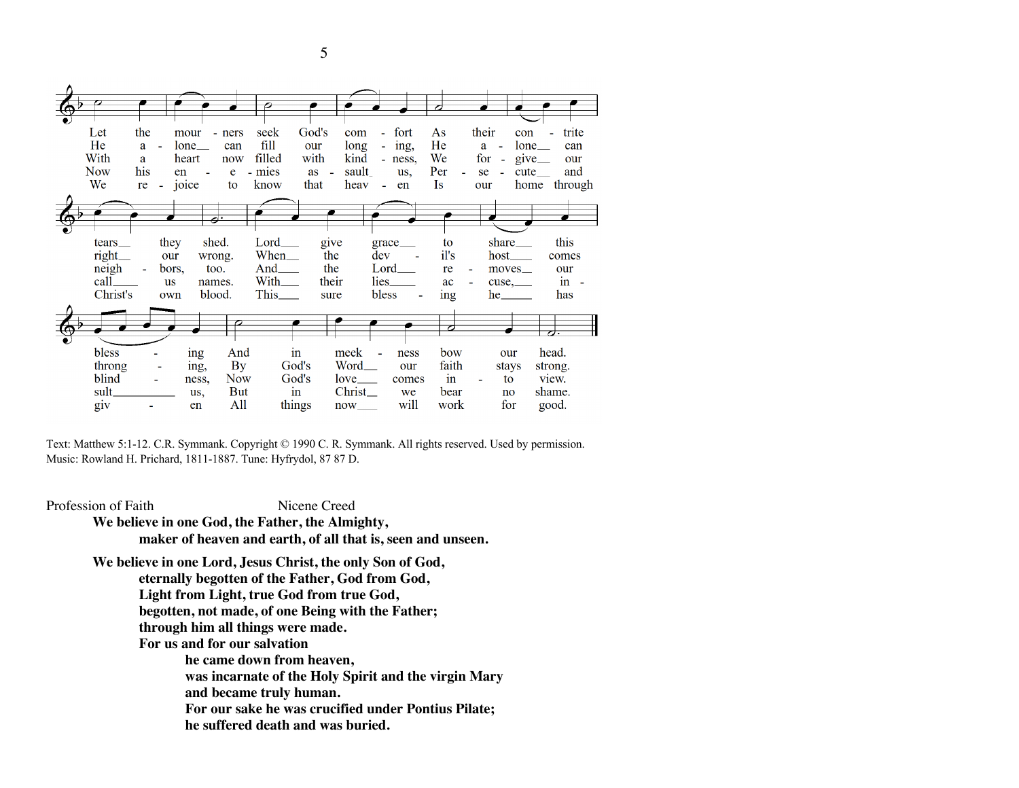

Text: Matthew 5:1-12. C.R. Symmank. Copyright © 1990 C. R. Symmank. All rights reserved. Used by permission. Music: Rowland H. Prichard, 1811-1887. Tune: Hyfrydol, 87 87 D.

Profession of Faith Nicene Creed **We believe in one God, the Father, the Almighty, maker of heaven and earth, of all that is, seen and unseen. We believe in one Lord, Jesus Christ, the only Son of God, eternally begotten of the Father, God from God, Light from Light, true God from true God, begotten, not made, of one Being with the Father; through him all things were made. For us and for our salvation he came down from heaven, was incarnate of the Holy Spirit and the virgin Mary and became truly human. For our sake he was crucified under Pontius Pilate; he suffered death and was buried.** 

5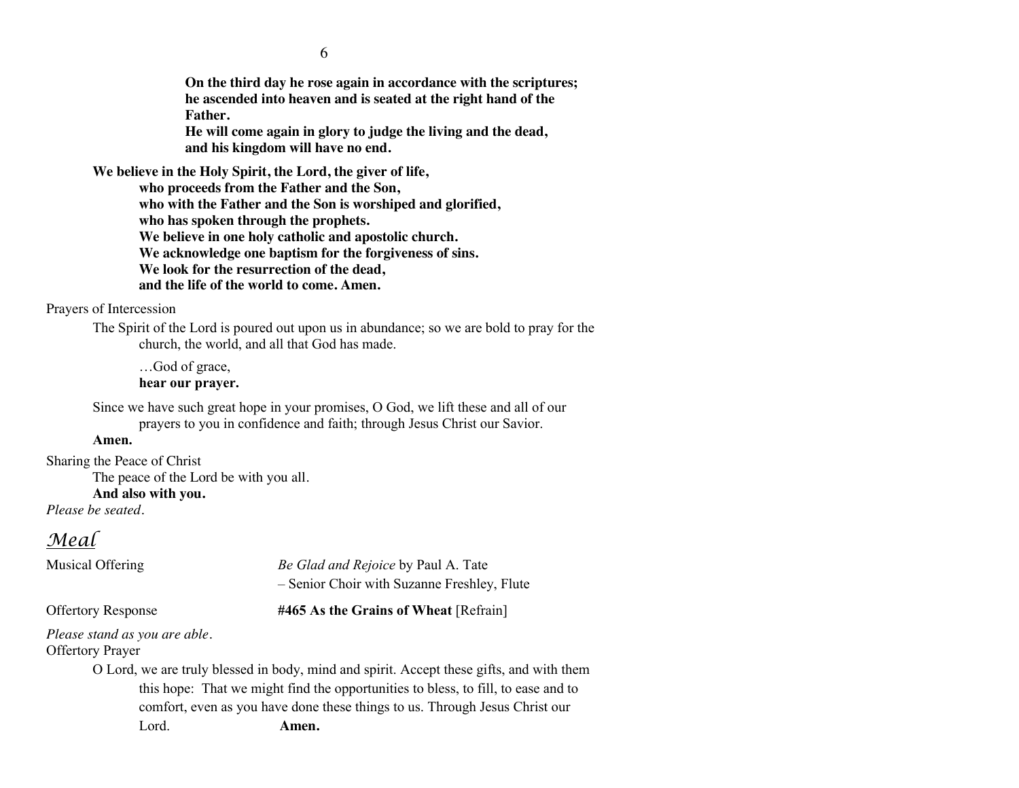**On the third day he rose again in accordance with the scriptures; he ascended into heaven and is seated at the right hand of the Father.** 

**He will come again in glory to judge the living and the dead, and his kingdom will have no end.**

**We believe in the Holy Spirit, the Lord, the giver of life,** 

**who proceeds from the Father and the Son, who with the Father and the Son is worshiped and glorified, who has spoken through the prophets. We believe in one holy catholic and apostolic church. We acknowledge one baptism for the forgiveness of sins. We look for the resurrection of the dead, and the life of the world to come. Amen.**

Prayers of Intercession

The Spirit of the Lord is poured out upon us in abundance; so we are bold to pray for the church, the world, and all that God has made.

…God of grace, **hear our prayer.**

Since we have such great hope in your promises, O God, we lift these and all of our prayers to you in confidence and faith; through Jesus Christ our Savior.

#### **Amen.**

Sharing the Peace of Christ

The peace of the Lord be with you all.

#### **And also with you.**

*Please be seated.*

# *Meal*

Musical Offering *Be Glad and Rejoice* by Paul A. Tate – Senior Choir with Suzanne Freshley, Flute

#### Offertory Response **#465 As the Grains of Wheat** [Refrain]

*Please stand as you are able.* Offertory Prayer

> O Lord, we are truly blessed in body, mind and spirit. Accept these gifts, and with them this hope: That we might find the opportunities to bless, to fill, to ease and to comfort, even as you have done these things to us. Through Jesus Christ our Lord. **Amen.**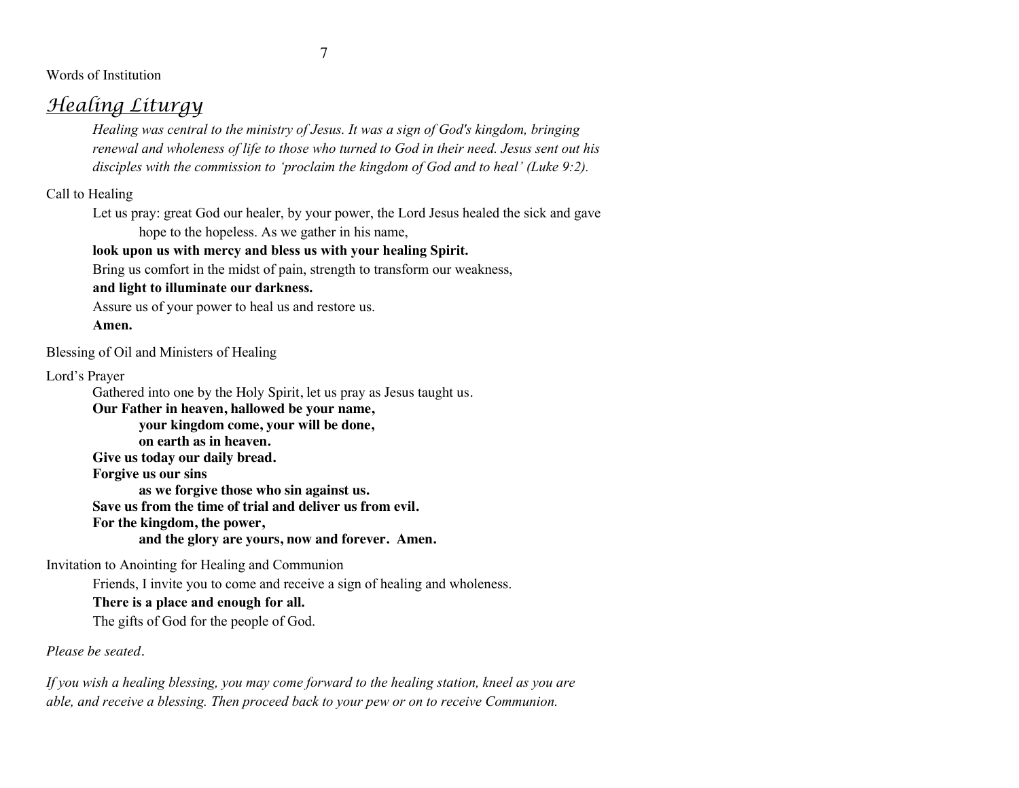7

Words of Institution

# *Healing Liturgy*

*Healing was central to the ministry of Jesus. It was a sign of God's kingdom, bringing renewal and wholeness of life to those who turned to God in their need. Jesus sent out his disciples with the commission to 'proclaim the kingdom of God and to heal' (Luke 9:2).*

Call to Healing

Let us pray: great God our healer, by your power, the Lord Jesus healed the sick and gave hope to the hopeless. As we gather in his name,

# **look upon us with mercy and bless us with your healing Spirit.**

Bring us comfort in the midst of pain, strength to transform our weakness,

# **and light to illuminate our darkness.**

Assure us of your power to heal us and restore us.

**Amen.**

Blessing of Oil and Ministers of Healing

Lord's Prayer

Gathered into one by the Holy Spirit, let us pray as Jesus taught us.

**Our Father in heaven, hallowed be your name,** 

**your kingdom come, your will be done,** 

**on earth as in heaven.**

**Give us today our daily bread.** 

**Forgive us our sins** 

**as we forgive those who sin against us.** 

**Save us from the time of trial and deliver us from evil.**

**For the kingdom, the power,** 

**and the glory are yours, now and forever. Amen.**

Invitation to Anointing for Healing and Communion

Friends, I invite you to come and receive a sign of healing and wholeness.

# **There is a place and enough for all.**

The gifts of God for the people of God.

*Please be seated.*

*If you wish a healing blessing, you may come forward to the healing station, kneel as you are able, and receive a blessing. Then proceed back to your pew or on to receive Communion.*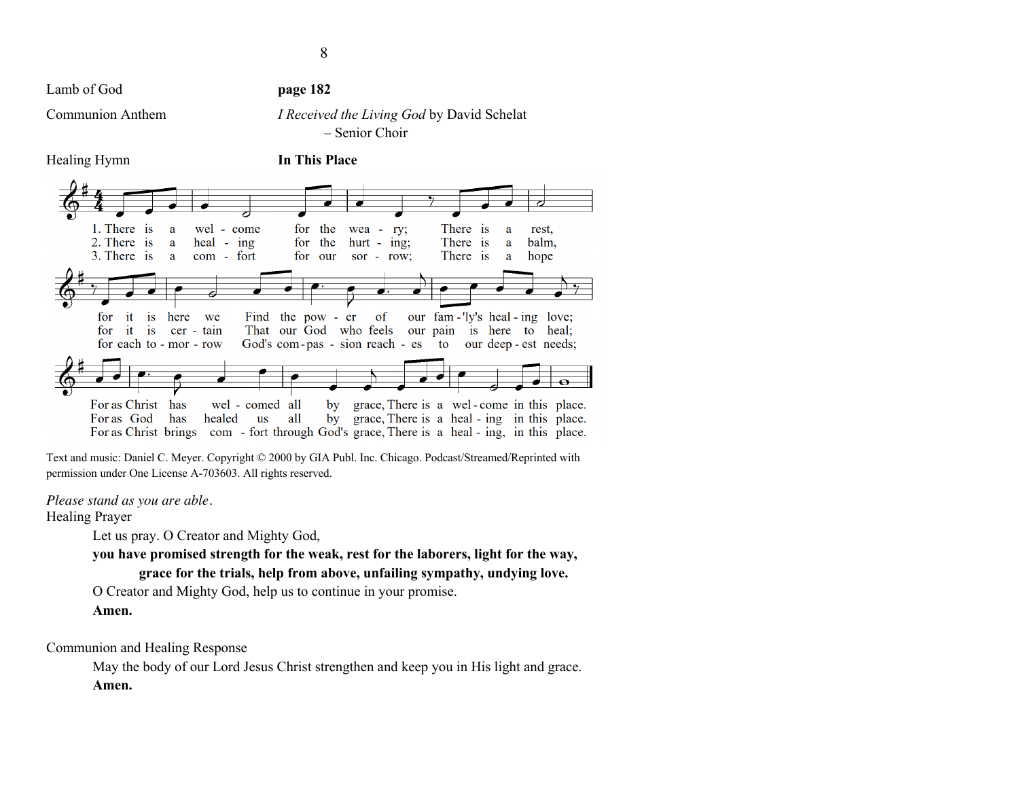Lamb of God **page 182** 

# Communion Anthem *I Received the Living God* by David Schelat – Senior Choir



Text and music: Daniel C. Meyer. Copyright © 2000 by GIA Publ. Inc. Chicago. Podcast/Streamed/Reprinted with permission under One License A-703603. All rights reserved.

## *Please stand as you are able.*

Healing Prayer

Let us pray. O Creator and Mighty God,

**you have promised strength for the weak, rest for the laborers, light for the way, grace for the trials, help from above, unfailing sympathy, undying love.**

O Creator and Mighty God, help us to continue in your promise.

**Amen.**

Communion and Healing Response

May the body of our Lord Jesus Christ strengthen and keep you in His light and grace. **Amen.**

Healing Hymn **In This Place**